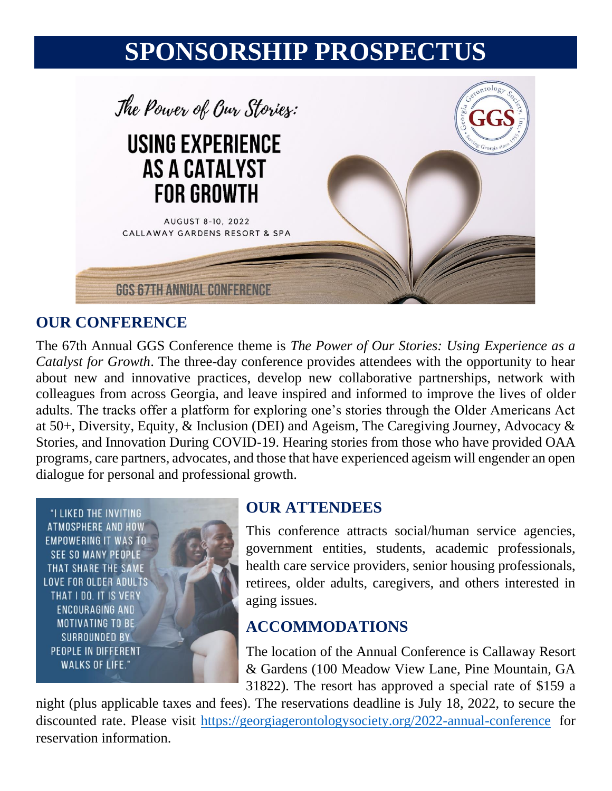# **SPONSORSHIP PROSPECTUS**



#### **OUR CONFERENCE**

The 67th Annual GGS Conference theme is *The Power of Our Stories: Using Experience as a Catalyst for Growth*. The three-day conference provides attendees with the opportunity to hear about new and innovative practices, develop new collaborative partnerships, network with colleagues from across Georgia, and leave inspired and informed to improve the lives of older adults. The tracks offer a platform for exploring one's stories through the Older Americans Act at 50+, Diversity, Equity, & Inclusion (DEI) and Ageism, The Caregiving Journey, Advocacy & Stories, and Innovation During COVID-19. Hearing stories from those who have provided OAA programs, care partners, advocates, and those that have experienced ageism will engender an open dialogue for personal and professional growth.

"I LIKED THE INVITING ATMOSPHERE AND HOW **EMPOWERING IT WAS TO SEE SO MANY PEOPLE** THAT SHARE THE SAME **LOVE FOR OLDER ADULTS** THAT I DO. IT IS VERY ENCOURAGING AND **MOTIVATING TO BE** SURROUNDED BY PEOPLE IN DIFFERENT **WALKS OF LIFE."** 



#### **OUR ATTENDEES**

This conference attracts social/human service agencies, government entities, students, academic professionals, health care service providers, senior housing professionals, retirees, older adults, caregivers, and others interested in aging issues.

#### **ACCOMMODATIONS**

The location of the Annual Conference is Callaway Resort & Gardens (100 Meadow View Lane, Pine Mountain, GA 31822). The resort has approved a special rate of \$159 a

night (plus applicable taxes and fees). The reservations deadline is July 18, 2022, to secure the discounted rate. Please visit<https://georgiagerontologysociety.org/2022-annual-conference> for reservation information.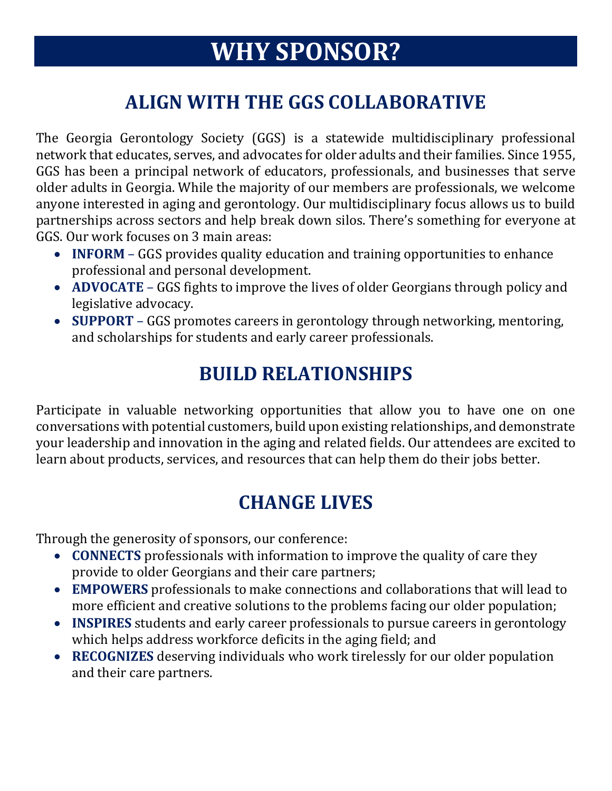# **WHY SPONSOR?**

## **ALIGN WITH THE GGS COLLABORATIVE**

The Georgia Gerontology Society (GGS) is a statewide multidisciplinary professional network that educates, serves, and advocates for older adults and their families. Since 1955, GGS has been a principal network of educators, professionals, and businesses that serve older adults in Georgia. While the majority of our members are professionals, we welcome anyone interested in aging and gerontology. Our multidisciplinary focus allows us to build partnerships across sectors and help break down silos. There's something for everyone at GGS. Our work focuses on 3 main areas:

- **INFORM**  GGS provides quality education and training opportunities to enhance professional and personal development.
- **ADVOCATE**  GGS fights to improve the lives of older Georgians through policy and legislative advocacy.
- **SUPPORT**  GGS promotes careers in gerontology through networking, mentoring, and scholarships for students and early career professionals.

## **BUILD RELATIONSHIPS**

Participate in valuable networking opportunities that allow you to have one on one conversations with potential customers, build upon existing relationships, and demonstrate your leadership and innovation in the aging and related fields. Our attendees are excited to learn about products, services, and resources that can help them do their jobs better.

## **CHANGE LIVES**

Through the generosity of sponsors, our conference:

- **CONNECTS** professionals with information to improve the quality of care they provide to older Georgians and their care partners;
- **EMPOWERS** professionals to make connections and collaborations that will lead to more efficient and creative solutions to the problems facing our older population;
- **INSPIRES** students and early career professionals to pursue careers in gerontology which helps address workforce deficits in the aging field; and
- **RECOGNIZES** deserving individuals who work tirelessly for our older population and their care partners.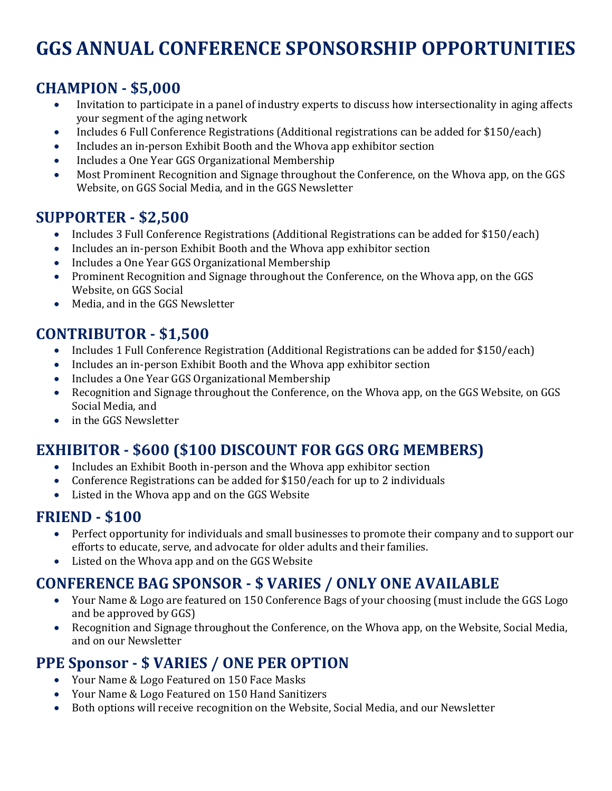## **GGS ANNUAL CONFERENCE SPONSORSHIP OPPORTUNITIES**

#### **CHAMPION - \$5,000**

- Invitation to participate in a panel of industry experts to discuss how intersectionality in aging affects your segment of the aging network
- Includes 6 Full Conference Registrations (Additional registrations can be added for \$150/each)
- Includes an in-person Exhibit Booth and the Whova app exhibitor section
- Includes a One Year GGS Organizational Membership
- Most Prominent Recognition and Signage throughout the Conference, on the Whova app, on the GGS Website, on GGS Social Media, and in the GGS Newsletter

#### **SUPPORTER - \$2,500**

- Includes 3 Full Conference Registrations (Additional Registrations can be added for \$150/each)
- Includes an in-person Exhibit Booth and the Whova app exhibitor section
- Includes a One Year GGS Organizational Membership
- Prominent Recognition and Signage throughout the Conference, on the Whova app, on the GGS Website, on GGS Social
- Media, and in the GGS Newsletter

#### **CONTRIBUTOR - \$1,500**

- Includes 1 Full Conference Registration (Additional Registrations can be added for \$150/each)
- Includes an in-person Exhibit Booth and the Whova app exhibitor section
- Includes a One Year GGS Organizational Membership
- Recognition and Signage throughout the Conference, on the Whova app, on the GGS Website, on GGS Social Media, and
- in the GGS Newsletter

#### **EXHIBITOR - \$600 (\$100 DISCOUNT FOR GGS ORG MEMBERS)**

- Includes an Exhibit Booth in-person and the Whova app exhibitor section
- Conference Registrations can be added for \$150/each for up to 2 individuals
- Listed in the Whova app and on the GGS Website

#### **FRIEND - \$100**

- Perfect opportunity for individuals and small businesses to promote their company and to support our efforts to educate, serve, and advocate for older adults and their families.
- Listed on the Whova app and on the GGS Website

#### **CONFERENCE BAG SPONSOR - \$ VARIES / ONLY ONE AVAILABLE**

- Your Name & Logo are featured on 150 Conference Bags of your choosing (must include the GGS Logo and be approved by GGS)
- Recognition and Signage throughout the Conference, on the Whova app, on the Website, Social Media, and on our Newsletter

#### **PPE Sponsor - \$ VARIES / ONE PER OPTION**

- Your Name & Logo Featured on 150 Face Masks
- Your Name & Logo Featured on 150 Hand Sanitizers
- Both options will receive recognition on the Website, Social Media, and our Newsletter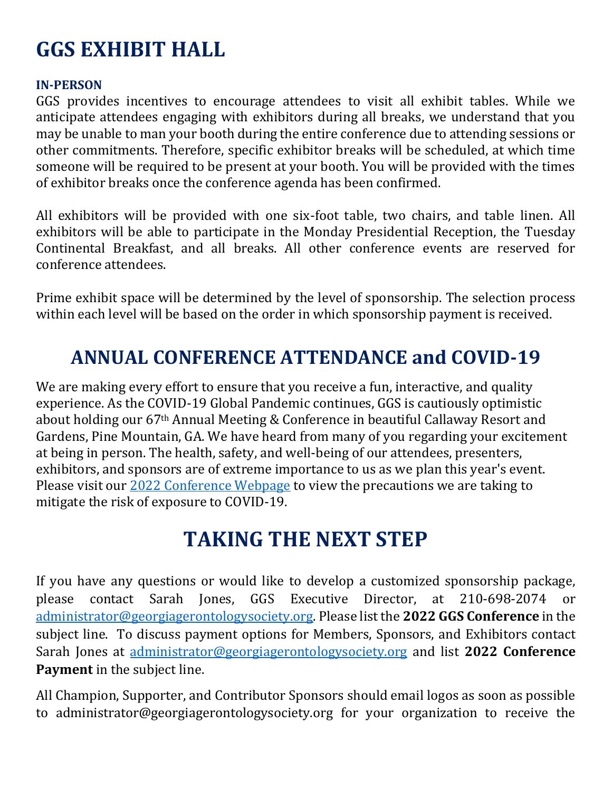## **GGS EXHIBIT HALL**

#### **IN-PERSON**

GGS provides incentives to encourage attendees to visit all exhibit tables. While we anticipate attendees engaging with exhibitors during all breaks, we understand that you may be unable to man your booth during the entire conference due to attending sessions or other commitments. Therefore, specific exhibitor breaks will be scheduled, at which time someone will be required to be present at your booth. You will be provided with the times of exhibitor breaks once the conference agenda has been confirmed.

All exhibitors will be provided with one six-foot table, two chairs, and table linen. All exhibitors will be able to participate in the Monday Presidential Reception, the Tuesday Continental Breakfast, and all breaks. All other conference events are reserved for conference attendees.

Prime exhibit space will be determined by the level of sponsorship. The selection process within each level will be based on the order in which sponsorship payment is received.

## **ANNUAL CONFERENCE ATTENDANCE and COVID-19**

We are making every effort to ensure that you receive a fun, interactive, and quality experience. As the COVID-19 Global Pandemic continues, GGS is cautiously optimistic about holding our 67th Annual Meeting & Conference in beautiful Callaway Resort and Gardens, Pine Mountain, GA. We have heard from many of you regarding your excitement at being in person. The health, safety, and well-being of our attendees, presenters, exhibitors, and sponsors are of extreme importance to us as we plan this year's event. Please visit our [2022 Conference Webpage](https://georgiagerontologysociety.org/2022-annual-conference/) to view the precautions we are taking to mitigate the risk of exposure to COVID-19.

## **TAKING THE NEXT STEP**

If you have any questions or would like to develop a customized sponsorship package, please contact Sarah Jones, GGS Executive Director, at 210-698-2074 or [administrator@georgiagerontologysociety.org.](mailto:administrator@georgiagerontologysociety.org) Please list the **2022 GGS Conference** in the subject line. To discuss payment options for Members, Sponsors, and Exhibitors contact Sarah Jones at [administrator@georgiagerontologysociety.org](mailto:administrator@georgiagerontologysociety.org) and list **2022 Conference Payment** in the subject line.

All Champion, Supporter, and Contributor Sponsors should email logos as soon as possible to administrator@georgiagerontologysociety.org for your organization to receive the